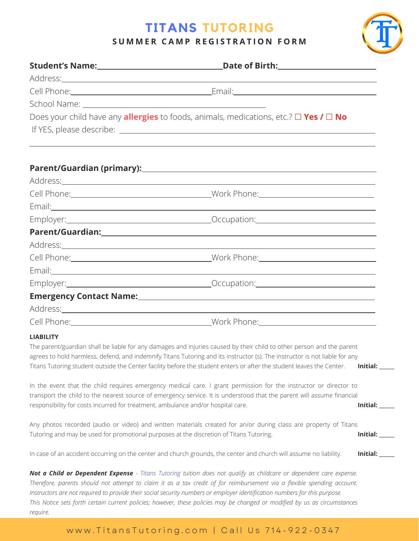# **TITANS TUTORING**

#### SUMMER CAMP REGISTRATION FORM

|                                                                                                                                                                                                                                      | Does your child have any <b>allergies</b> to foods, animals, medications, etc.? $\Box$ Yes / $\Box$ No                                                                                                                                                                                                                                                                                                                                                                                                     |                 |
|--------------------------------------------------------------------------------------------------------------------------------------------------------------------------------------------------------------------------------------|------------------------------------------------------------------------------------------------------------------------------------------------------------------------------------------------------------------------------------------------------------------------------------------------------------------------------------------------------------------------------------------------------------------------------------------------------------------------------------------------------------|-----------------|
|                                                                                                                                                                                                                                      |                                                                                                                                                                                                                                                                                                                                                                                                                                                                                                            |                 |
|                                                                                                                                                                                                                                      |                                                                                                                                                                                                                                                                                                                                                                                                                                                                                                            |                 |
| Address: <u>Address: Address: Address: Address: Address: Address: Address: Address: Address: Address: Address: Address: Address: Address: Address: Address: Address: Address: Address: Address: Address: Address: Address: Addre</u> |                                                                                                                                                                                                                                                                                                                                                                                                                                                                                                            |                 |
|                                                                                                                                                                                                                                      |                                                                                                                                                                                                                                                                                                                                                                                                                                                                                                            |                 |
|                                                                                                                                                                                                                                      |                                                                                                                                                                                                                                                                                                                                                                                                                                                                                                            |                 |
|                                                                                                                                                                                                                                      | Employer: 2008 Comparison: 2008 Comparison: 2008 Comparison: 2008 Comparison: 2008 Comparison: 2008 Comparison                                                                                                                                                                                                                                                                                                                                                                                             |                 |
|                                                                                                                                                                                                                                      |                                                                                                                                                                                                                                                                                                                                                                                                                                                                                                            |                 |
|                                                                                                                                                                                                                                      |                                                                                                                                                                                                                                                                                                                                                                                                                                                                                                            |                 |
|                                                                                                                                                                                                                                      |                                                                                                                                                                                                                                                                                                                                                                                                                                                                                                            |                 |
|                                                                                                                                                                                                                                      |                                                                                                                                                                                                                                                                                                                                                                                                                                                                                                            |                 |
|                                                                                                                                                                                                                                      |                                                                                                                                                                                                                                                                                                                                                                                                                                                                                                            |                 |
|                                                                                                                                                                                                                                      |                                                                                                                                                                                                                                                                                                                                                                                                                                                                                                            |                 |
|                                                                                                                                                                                                                                      |                                                                                                                                                                                                                                                                                                                                                                                                                                                                                                            |                 |
|                                                                                                                                                                                                                                      |                                                                                                                                                                                                                                                                                                                                                                                                                                                                                                            |                 |
| <b>LIABILITY</b>                                                                                                                                                                                                                     |                                                                                                                                                                                                                                                                                                                                                                                                                                                                                                            |                 |
|                                                                                                                                                                                                                                      | The parent/guardian shall be liable for any damages and injuries caused by their child to other person and the parent<br>agrees to hold harmless, defend, and indemnify Titans Tutoring and its instructor (s). The instructor is not liable for any<br>Titans Tutoring student outside the Center facility before the student enters or after the student leaves the Center.                                                                                                                              | Initial: $\_\_$ |
| responsibility for costs incurred for treatment, ambulance and/or hospital care.                                                                                                                                                     | In the event that the child requires emergency medical care. I grant permission for the instructor or director to<br>transport the child to the nearest source of emergency service. It is understood that the parent will assume financial                                                                                                                                                                                                                                                                | <b>Initial:</b> |
| Tutoring and may be used for promotional purposes at the discretion of Titans Tutoring.                                                                                                                                              | Any photos recorded (audio or video) and written materials created for an/or during class are property of Titans                                                                                                                                                                                                                                                                                                                                                                                           | Initial: $\_\_$ |
|                                                                                                                                                                                                                                      | In case of an accident occurring on the center and church grounds, the center and church will assume no liability.                                                                                                                                                                                                                                                                                                                                                                                         | Initial: $\_\_$ |
|                                                                                                                                                                                                                                      | Not a Child or Dependent Expense - Titans Tutoring tuition does not qualify as childcare or dependent care expense.<br>Therefore, parents should not attempt to claim it as a tax credit of for reimbursement via a flexible spending account.<br>Instructors are not required to provide their social security numbers or employer identification numbers for this purpose.<br>This Notice sets forth certain current policies; however, these policies may be changed or modified by us as circumstances |                 |

*require.*

### www.TitansTutoring.com | Call Us 714-922-0347